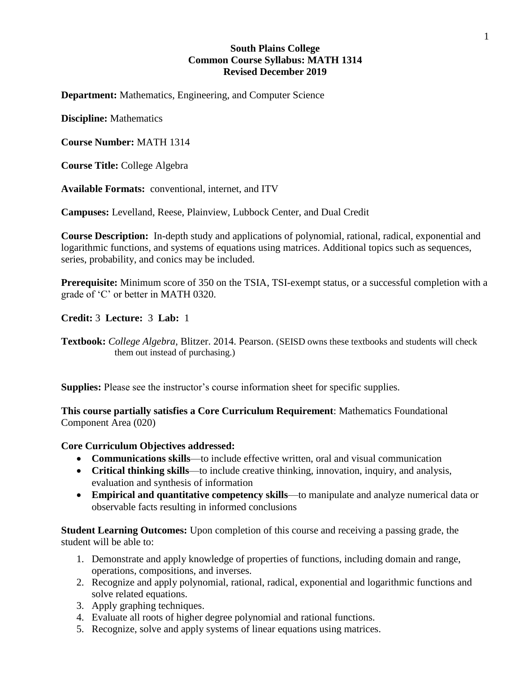## **South Plains College Common Course Syllabus: MATH 1314 Revised December 2019**

**Department:** Mathematics, Engineering, and Computer Science

**Discipline:** Mathematics

**Course Number:** MATH 1314

**Course Title:** College Algebra

**Available Formats:** conventional, internet, and ITV

**Campuses:** Levelland, Reese, Plainview, Lubbock Center, and Dual Credit

**Course Description:** In-depth study and applications of polynomial, rational, radical, exponential and logarithmic functions, and systems of equations using matrices. Additional topics such as sequences, series, probability, and conics may be included.

**Prerequisite:** Minimum score of 350 on the TSIA, TSI-exempt status, or a successful completion with a grade of 'C' or better in MATH 0320.

**Credit:** 3 **Lecture:** 3 **Lab:** 1

**Textbook:** *College Algebra*, Blitzer. 2014. Pearson. (SEISD owns these textbooks and students will check them out instead of purchasing.)

**Supplies:** Please see the instructor's course information sheet for specific supplies.

**This course partially satisfies a Core Curriculum Requirement**: Mathematics Foundational Component Area (020)

## **Core Curriculum Objectives addressed:**

- **Communications skills**—to include effective written, oral and visual communication
- **Critical thinking skills**—to include creative thinking, innovation, inquiry, and analysis, evaluation and synthesis of information
- **Empirical and quantitative competency skills**—to manipulate and analyze numerical data or observable facts resulting in informed conclusions

**Student Learning Outcomes:** Upon completion of this course and receiving a passing grade, the student will be able to:

- 1. Demonstrate and apply knowledge of properties of functions, including domain and range, operations, compositions, and inverses.
- 2. Recognize and apply polynomial, rational, radical, exponential and logarithmic functions and solve related equations.
- 3. Apply graphing techniques.
- 4. Evaluate all roots of higher degree polynomial and rational functions.
- 5. Recognize, solve and apply systems of linear equations using matrices.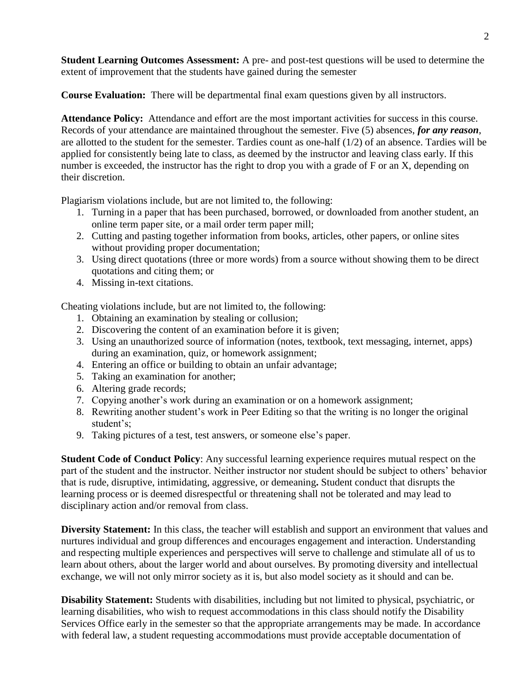**Student Learning Outcomes Assessment:** A pre- and post-test questions will be used to determine the extent of improvement that the students have gained during the semester

**Course Evaluation:** There will be departmental final exam questions given by all instructors.

**Attendance Policy:** Attendance and effort are the most important activities for success in this course. Records of your attendance are maintained throughout the semester. Five (5) absences, *for any reason*, are allotted to the student for the semester. Tardies count as one-half (1/2) of an absence. Tardies will be applied for consistently being late to class, as deemed by the instructor and leaving class early. If this number is exceeded, the instructor has the right to drop you with a grade of F or an X, depending on their discretion.

Plagiarism violations include, but are not limited to, the following:

- 1. Turning in a paper that has been purchased, borrowed, or downloaded from another student, an online term paper site, or a mail order term paper mill;
- 2. Cutting and pasting together information from books, articles, other papers, or online sites without providing proper documentation;
- 3. Using direct quotations (three or more words) from a source without showing them to be direct quotations and citing them; or
- 4. Missing in-text citations.

Cheating violations include, but are not limited to, the following:

- 1. Obtaining an examination by stealing or collusion;
- 2. Discovering the content of an examination before it is given;
- 3. Using an unauthorized source of information (notes, textbook, text messaging, internet, apps) during an examination, quiz, or homework assignment;
- 4. Entering an office or building to obtain an unfair advantage;
- 5. Taking an examination for another;
- 6. Altering grade records;
- 7. Copying another's work during an examination or on a homework assignment;
- 8. Rewriting another student's work in Peer Editing so that the writing is no longer the original student's;
- 9. Taking pictures of a test, test answers, or someone else's paper.

**Student Code of Conduct Policy**: Any successful learning experience requires mutual respect on the part of the student and the instructor. Neither instructor nor student should be subject to others' behavior that is rude, disruptive, intimidating, aggressive, or demeaning**.** Student conduct that disrupts the learning process or is deemed disrespectful or threatening shall not be tolerated and may lead to disciplinary action and/or removal from class.

**Diversity Statement:** In this class, the teacher will establish and support an environment that values and nurtures individual and group differences and encourages engagement and interaction. Understanding and respecting multiple experiences and perspectives will serve to challenge and stimulate all of us to learn about others, about the larger world and about ourselves. By promoting diversity and intellectual exchange, we will not only mirror society as it is, but also model society as it should and can be.

**Disability Statement:** Students with disabilities, including but not limited to physical, psychiatric, or learning disabilities, who wish to request accommodations in this class should notify the Disability Services Office early in the semester so that the appropriate arrangements may be made. In accordance with federal law, a student requesting accommodations must provide acceptable documentation of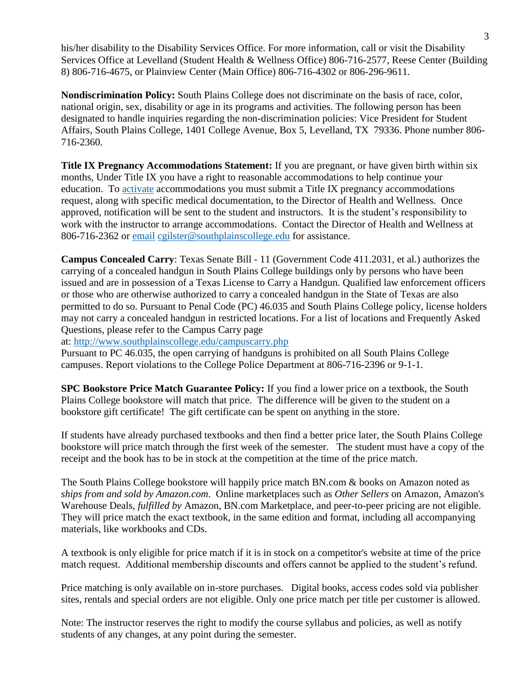his/her disability to the Disability Services Office. For more information, call or visit the Disability Services Office at Levelland (Student Health & Wellness Office) 806-716-2577, Reese Center (Building 8) 806-716-4675, or Plainview Center (Main Office) 806-716-4302 or 806-296-9611.

**Nondiscrimination Policy:** South Plains College does not discriminate on the basis of race, color, national origin, sex, disability or age in its programs and activities. The following person has been designated to handle inquiries regarding the non-discrimination policies: Vice President for Student Affairs, South Plains College, 1401 College Avenue, Box 5, Levelland, TX 79336. Phone number 806- 716-2360.

**Title IX Pregnancy Accommodations Statement:** If you are pregnant, or have given birth within six months, Under Title IX you have a right to reasonable accommodations to help continue your education. To [activate](http://www.southplainscollege.edu/employees/manualshandbooks/facultyhandbook/sec4.php) accommodations you must submit a Title IX pregnancy accommodations request, along with specific medical documentation, to the Director of Health and Wellness. Once approved, notification will be sent to the student and instructors. It is the student's responsibility to work with the instructor to arrange accommodations. Contact the Director of Health and Wellness at 806-716-2362 or [email](http://www.southplainscollege.edu/employees/manualshandbooks/facultyhandbook/sec4.php) [cgilster@southplainscollege.edu](mailto:cgilster@southplainscollege.edu) for assistance.

**Campus Concealed Carry**: Texas Senate Bill - 11 (Government Code 411.2031, et al.) authorizes the carrying of a concealed handgun in South Plains College buildings only by persons who have been issued and are in possession of a Texas License to Carry a Handgun. Qualified law enforcement officers or those who are otherwise authorized to carry a concealed handgun in the State of Texas are also permitted to do so. Pursuant to Penal Code (PC) 46.035 and South Plains College policy, license holders may not carry a concealed handgun in restricted locations. For a list of locations and Frequently Asked Questions, please refer to the Campus Carry page

at: <http://www.southplainscollege.edu/campuscarry.php>

Pursuant to PC 46.035, the open carrying of handguns is prohibited on all South Plains College campuses. Report violations to the College Police Department at 806-716-2396 or 9-1-1.

**SPC Bookstore Price Match Guarantee Policy:** If you find a lower price on a textbook, the South Plains College bookstore will match that price. The difference will be given to the student on a bookstore gift certificate! The gift certificate can be spent on anything in the store.

If students have already purchased textbooks and then find a better price later, the South Plains College bookstore will price match through the first week of the semester. The student must have a copy of the receipt and the book has to be in stock at the competition at the time of the price match.

The South Plains College bookstore will happily price match BN.com & books on Amazon noted as *ships from and sold by Amazon.com*. Online marketplaces such as *Other Sellers* on Amazon, Amazon's Warehouse Deals, *fulfilled by* Amazon, BN.com Marketplace, and peer-to-peer pricing are not eligible. They will price match the exact textbook, in the same edition and format, including all accompanying materials, like workbooks and CDs.

A textbook is only eligible for price match if it is in stock on a competitor's website at time of the price match request. Additional membership discounts and offers cannot be applied to the student's refund.

Price matching is only available on in-store purchases. Digital books, access codes sold via publisher sites, rentals and special orders are not eligible. Only one price match per title per customer is allowed.

Note: The instructor reserves the right to modify the course syllabus and policies, as well as notify students of any changes, at any point during the semester.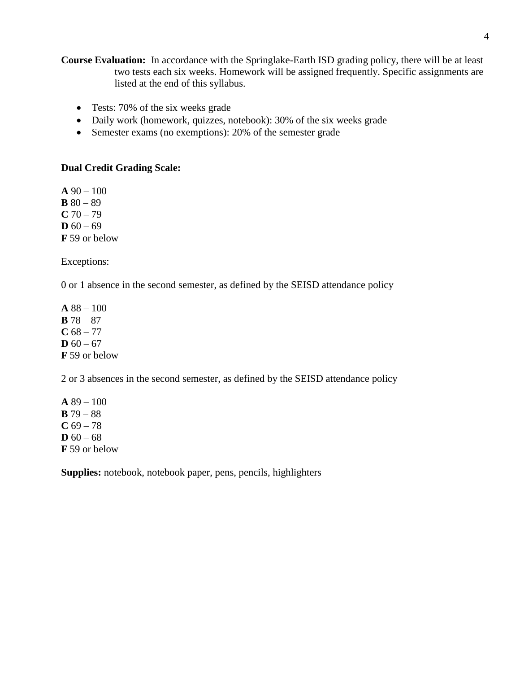**Course Evaluation:** In accordance with the Springlake-Earth ISD grading policy, there will be at least two tests each six weeks. Homework will be assigned frequently. Specific assignments are listed at the end of this syllabus.

- Tests: 70% of the six weeks grade
- Daily work (homework, quizzes, notebook): 30% of the six weeks grade
- Semester exams (no exemptions): 20% of the semester grade

## **Dual Credit Grading Scale:**

**A** 90 – 100 **B**  $80 - 89$  $C$  70 – 79 **D**  $60 - 69$ **F** 59 or below

Exceptions:

0 or 1 absence in the second semester, as defined by the SEISD attendance policy

**A** 88 – 100 **B** 78 – 87  $C$  68 – 77 **D**  $60 - 67$ **F** 59 or below

2 or 3 absences in the second semester, as defined by the SEISD attendance policy

**A** 89 – 100 **B** 79 – 88  $C$  69 – 78 **D**  $60 - 68$ **F** 59 or below

**Supplies:** notebook, notebook paper, pens, pencils, highlighters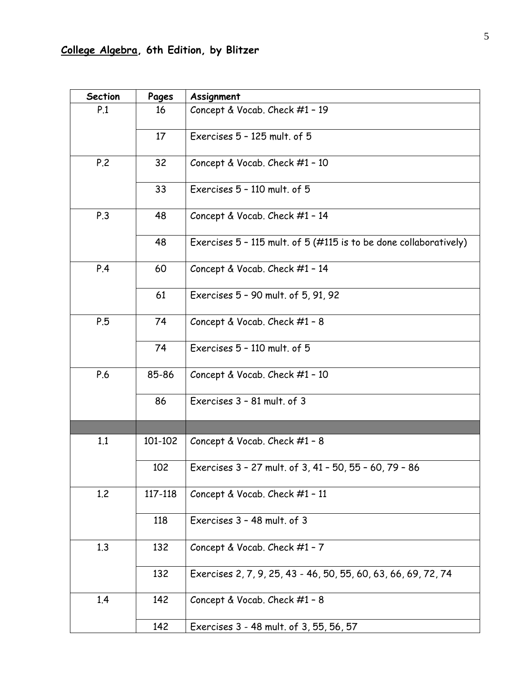| <b>Section</b> | Pages   | Assignment                                                        |
|----------------|---------|-------------------------------------------------------------------|
| P.1            | 16      | Concept & Vocab. Check #1 - 19                                    |
|                | 17      | Exercises 5 - 125 mult. of 5                                      |
| P.2            | 32      | Concept & Vocab. Check #1 - 10                                    |
|                | 33      | Exercises 5 - 110 mult. of 5                                      |
| P.3            | 48      | Concept & Vocab. Check #1 - 14                                    |
|                | 48      | Exercises 5 - 115 mult. of 5 (#115 is to be done collaboratively) |
| P.4            | 60      | Concept & Vocab. Check #1 - 14                                    |
|                | 61      | Exercises 5 - 90 mult. of 5, 91, 92                               |
| P.5            | 74      | Concept & Vocab. Check #1 - 8                                     |
|                | 74      | Exercises 5 - 110 mult. of 5                                      |
| P.6            | 85-86   | Concept & Vocab. Check #1 - 10                                    |
|                | 86      | Exercises 3 - 81 mult. of 3                                       |
|                |         |                                                                   |
| 1.1            | 101-102 | Concept & Vocab. Check #1 - 8                                     |
|                | 102     | Exercises 3 - 27 mult. of 3, 41 - 50, 55 - 60, 79 - 86            |
| 1.2            | 117-118 | Concept & Vocab. Check #1 - 11                                    |
|                | 118     | Exercises 3 - 48 mult. of 3                                       |
| 1.3            | 132     | Concept & Vocab. Check #1 - 7                                     |
|                | 132     | Exercises 2, 7, 9, 25, 43 - 46, 50, 55, 60, 63, 66, 69, 72, 74    |
| 1.4            | 142     | Concept & Vocab. Check #1 - 8                                     |
|                | 142     | Exercises 3 - 48 mult. of 3, 55, 56, 57                           |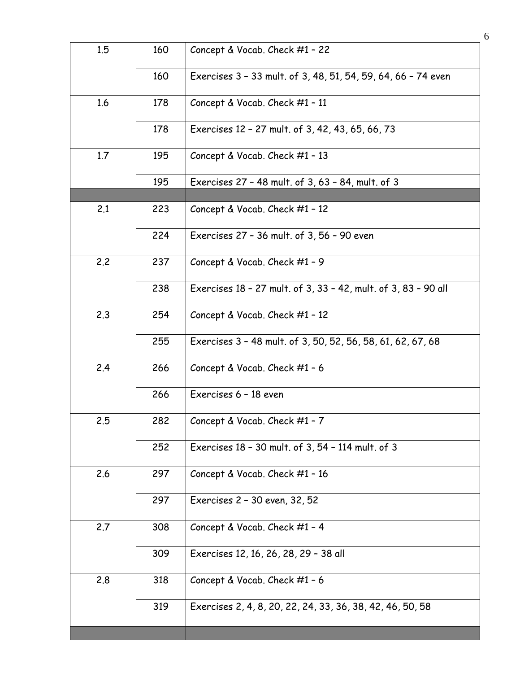| 1.5 | 160 | Concept & Vocab. Check #1 - 22                                 |
|-----|-----|----------------------------------------------------------------|
|     | 160 | Exercises 3 - 33 mult. of 3, 48, 51, 54, 59, 64, 66 - 74 even  |
| 1.6 | 178 | Concept & Vocab. Check #1 - 11                                 |
|     | 178 | Exercises 12 - 27 mult. of 3, 42, 43, 65, 66, 73               |
| 1.7 | 195 | Concept & Vocab. Check #1 - 13                                 |
|     | 195 | Exercises 27 - 48 mult. of 3, 63 - 84, mult. of 3              |
|     |     |                                                                |
| 2.1 | 223 | Concept & Vocab. Check #1 - 12                                 |
|     | 224 | Exercises 27 - 36 mult. of 3, 56 - 90 even                     |
| 2.2 | 237 | Concept & Vocab. Check #1 - 9                                  |
|     | 238 | Exercises 18 - 27 mult. of 3, 33 - 42, mult. of 3, 83 - 90 all |
| 2.3 | 254 | Concept & Vocab. Check #1 - 12                                 |
|     | 255 | Exercises 3 - 48 mult. of 3, 50, 52, 56, 58, 61, 62, 67, 68    |
| 2.4 | 266 | Concept & Vocab. Check #1 - 6                                  |
|     | 266 | Exercises 6 - 18 even                                          |
| 2.5 | 282 | Concept & Vocab. Check $#1 - 7$                                |
|     | 252 | Exercises 18 - 30 mult. of 3, 54 - 114 mult. of 3              |
| 2.6 | 297 | Concept & Vocab. Check #1 - 16                                 |
|     | 297 | Exercises 2 - 30 even, 32, 52                                  |
| 2.7 | 308 | Concept & Vocab. Check #1 - 4                                  |
|     | 309 | Exercises 12, 16, 26, 28, 29 - 38 all                          |
| 2.8 | 318 | Concept & Vocab. Check #1 - 6                                  |
|     | 319 | Exercises 2, 4, 8, 20, 22, 24, 33, 36, 38, 42, 46, 50, 58      |
|     |     |                                                                |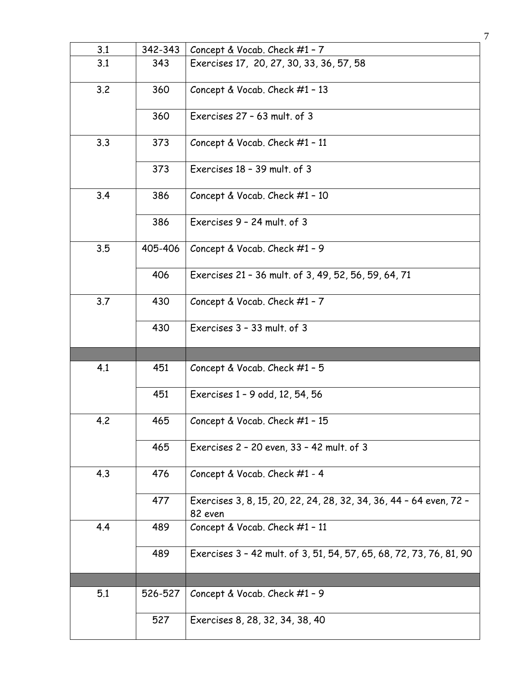| 3.1 | 342-343 | Concept & Vocab. Check #1 - 7                                       |
|-----|---------|---------------------------------------------------------------------|
| 3.1 | 343     | Exercises 17, 20, 27, 30, 33, 36, 57, 58                            |
| 3.2 | 360     | Concept & Vocab. Check #1 - 13                                      |
|     | 360     | Exercises 27 - 63 mult. of 3                                        |
| 3.3 | 373     | Concept & Vocab. Check #1 - 11                                      |
|     | 373     | Exercises 18 - 39 mult. of 3                                        |
| 3.4 | 386     | Concept & Vocab. Check #1 - 10                                      |
|     | 386     | Exercises 9 - 24 mult. of 3                                         |
| 3.5 | 405-406 | Concept & Vocab. Check #1 - 9                                       |
|     | 406     | Exercises 21 - 36 mult. of 3, 49, 52, 56, 59, 64, 71                |
| 3.7 | 430     | Concept & Vocab. Check #1 - 7                                       |
|     | 430     | Exercises 3 - 33 mult. of 3                                         |
|     |         |                                                                     |
|     |         |                                                                     |
| 4.1 | 451     | Concept & Vocab. Check #1 - 5                                       |
|     | 451     | Exercises 1 - 9 odd, 12, 54, 56                                     |
| 4.2 | 465     | Concept & Vocab. Check #1 - 15                                      |
|     | 465     | Exercises 2 - 20 even, 33 - 42 mult. of 3                           |
| 4.3 | 476     | Concept & Vocab. Check #1 - 4                                       |
|     | 477     | Exercises 3, 8, 15, 20, 22, 24, 28, 32, 34, 36, 44 - 64 even, 72 -  |
| 4.4 | 489     | 82 even<br>Concept & Vocab. Check #1 - 11                           |
|     | 489     | Exercises 3 - 42 mult. of 3, 51, 54, 57, 65, 68, 72, 73, 76, 81, 90 |
|     |         |                                                                     |
| 5.1 | 526-527 | Concept & Vocab. Check #1 - 9                                       |

7